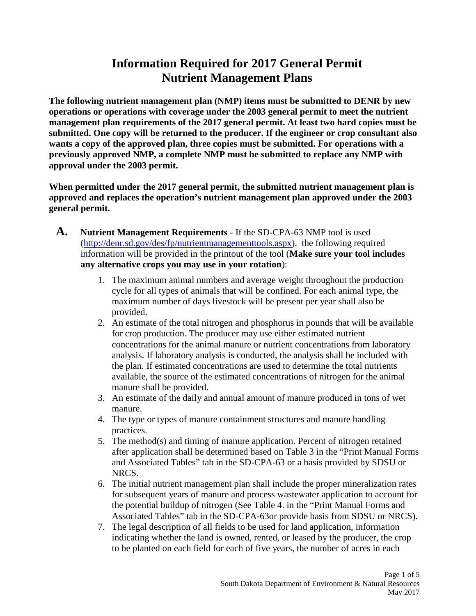**The following nutrient management plan (NMP) items must be submitted to DENR by new operations or operations with coverage under the 2003 general permit to meet the nutrient management plan requirements of the 2017 general permit. At least two hard copies must be submitted. One copy will be returned to the producer. If the engineer or crop consultant also wants a copy of the approved plan, three copies must be submitted. For operations with a previously approved NMP, a complete NMP must be submitted to replace any NMP with approval under the 2003 permit.**

**When permitted under the 2017 general permit, the submitted nutrient management plan is approved and replaces the operation's nutrient management plan approved under the 2003 general permit.**

- **A. Nutrient Management Requirements** If the SD-CPA-63 NMP tool is used [\(http://denr.sd.gov/des/fp/nutrientmanagementtools.aspx\)](http://denr.sd.gov/des/fp/nutrientmanagementtools.aspx), the following required information will be provided in the printout of the tool (**Make sure your tool includes any alternative crops you may use in your rotation**):
	- 1. The maximum animal numbers and average weight throughout the production cycle for all types of animals that will be confined. For each animal type, the maximum number of days livestock will be present per year shall also be provided.
	- 2. An estimate of the total nitrogen and phosphorus in pounds that will be available for crop production. The producer may use either estimated nutrient concentrations for the animal manure or nutrient concentrations from laboratory analysis. If laboratory analysis is conducted, the analysis shall be included with the plan. If estimated concentrations are used to determine the total nutrients available, the source of the estimated concentrations of nitrogen for the animal manure shall be provided.
	- 3. An estimate of the daily and annual amount of manure produced in tons of wet manure.
	- 4. The type or types of manure containment structures and manure handling practices.
	- 5. The method(s) and timing of manure application. Percent of nitrogen retained after application shall be determined based on Table 3 in the "Print Manual Forms and Associated Tables" tab in the SD-CPA-63 or a basis provided by SDSU or NRCS.
	- 6. The initial nutrient management plan shall include the proper mineralization rates for subsequent years of manure and process wastewater application to account for the potential buildup of nitrogen (See Table 4. in the "Print Manual Forms and Associated Tables" tab in the SD-CPA-63or provide basis from SDSU or NRCS).
	- 7. The legal description of all fields to be used for land application, information indicating whether the land is owned, rented, or leased by the producer, the crop to be planted on each field for each of five years, the number of acres in each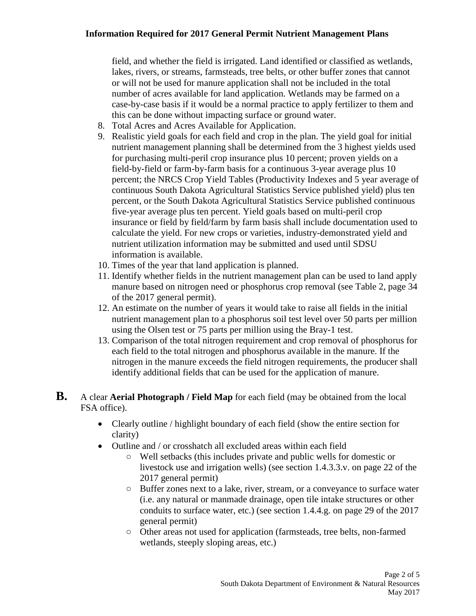field, and whether the field is irrigated. Land identified or classified as wetlands, lakes, rivers, or streams, farmsteads, tree belts, or other buffer zones that cannot or will not be used for manure application shall not be included in the total number of acres available for land application. Wetlands may be farmed on a case-by-case basis if it would be a normal practice to apply fertilizer to them and this can be done without impacting surface or ground water.

- 8. Total Acres and Acres Available for Application.
- 9. Realistic yield goals for each field and crop in the plan. The yield goal for initial nutrient management planning shall be determined from the 3 highest yields used for purchasing multi-peril crop insurance plus 10 percent; proven yields on a field-by-field or farm-by-farm basis for a continuous 3-year average plus 10 percent; the NRCS Crop Yield Tables (Productivity Indexes and 5 year average of continuous South Dakota Agricultural Statistics Service published yield) plus ten percent, or the South Dakota Agricultural Statistics Service published continuous five-year average plus ten percent. Yield goals based on multi-peril crop insurance or field by field/farm by farm basis shall include documentation used to calculate the yield. For new crops or varieties, industry-demonstrated yield and nutrient utilization information may be submitted and used until SDSU information is available.
- 10. Times of the year that land application is planned.
- 11. Identify whether fields in the nutrient management plan can be used to land apply manure based on nitrogen need or phosphorus crop removal (see Table 2, page 34 of the 2017 general permit).
- 12. An estimate on the number of years it would take to raise all fields in the initial nutrient management plan to a phosphorus soil test level over 50 parts per million using the Olsen test or 75 parts per million using the Bray-1 test.
- 13. Comparison of the total nitrogen requirement and crop removal of phosphorus for each field to the total nitrogen and phosphorus available in the manure. If the nitrogen in the manure exceeds the field nitrogen requirements, the producer shall identify additional fields that can be used for the application of manure.
- **B.** A clear **Aerial Photograph / Field Map** for each field (may be obtained from the local FSA office).
	- Clearly outline / highlight boundary of each field (show the entire section for clarity)
	- Outline and / or crosshatch all excluded areas within each field
		- Well setbacks (this includes private and public wells for domestic or livestock use and irrigation wells) (see section 1.4.3.3.v. on page 22 of the 2017 general permit)
		- Buffer zones next to a lake, river, stream, or a conveyance to surface water (i.e. any natural or manmade drainage, open tile intake structures or other conduits to surface water, etc.) (see section 1.4.4.g. on page 29 of the 2017 general permit)
		- Other areas not used for application (farmsteads, tree belts, non-farmed wetlands, steeply sloping areas, etc.)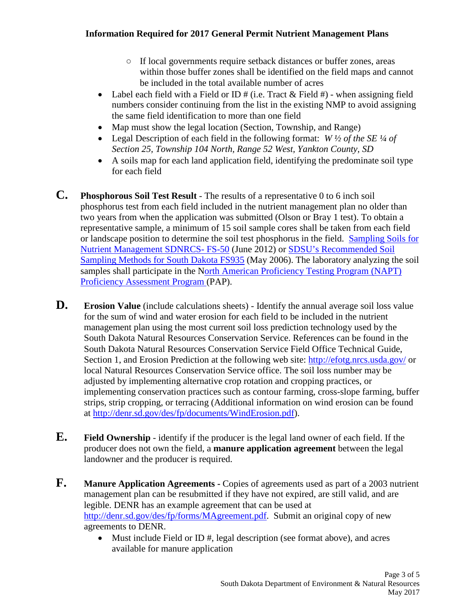- If local governments require setback distances or buffer zones, areas within those buffer zones shall be identified on the field maps and cannot be included in the total available number of acres
- Label each field with a Field or ID  $#$  (i.e. Tract & Field  $#$ ) when assigning field numbers consider continuing from the list in the existing NMP to avoid assigning the same field identification to more than one field
- Map must show the legal location (Section, Township, and Range)
- Legal Description of each field in the following format: *W ½ of the SE ¼ of Section 25, Township 104 North, Range 52 West, Yankton County, SD*
- A soils map for each land application field, identifying the predominate soil type for each field
- **C. Phosphorous Soil Test Result**  The results of a representative 0 to 6 inch soil phosphorus test from each field included in the nutrient management plan no older than two years from when the application was submitted (Olson or Bray 1 test). To obtain a representative sample, a minimum of 15 soil sample cores shall be taken from each field or landscape position to determine the soil test phosphorus in the field. [Sampling Soils for](http://www.nrcs.usda.gov/Internet/FSE_DOCUMENTS/nrcs141p2_036444.pdf)  [Nutrient Management SDNRCS-](http://www.nrcs.usda.gov/Internet/FSE_DOCUMENTS/nrcs141p2_036444.pdf) FS-50 (June 2012) or [SDSU's Recommended Soil](http://openprairie.sdstate.edu/cgi/viewcontent.cgi?article=1133&context=extension_fact&sei-redir=1&referer=http%3A%2F%2Fwww.bing.com%2Fsearch%3Fq%3DSDSU%25E2%2580%2599s%2BRecommended%2BSoil%2BSampling%2BMethods%2Bfor%2BSouth%2BDakota%26src%3DIE-TopResult%26FORM%3DIETR02%26conversationid%3D#search=%22SDSU%E2%80%99s%20Recommended%20Soil%20Sampling%20Methods%20South%20Dakota%22)  [Sampling Methods for South Dakota FS935](http://openprairie.sdstate.edu/cgi/viewcontent.cgi?article=1133&context=extension_fact&sei-redir=1&referer=http%3A%2F%2Fwww.bing.com%2Fsearch%3Fq%3DSDSU%25E2%2580%2599s%2BRecommended%2BSoil%2BSampling%2BMethods%2Bfor%2BSouth%2BDakota%26src%3DIE-TopResult%26FORM%3DIETR02%26conversationid%3D#search=%22SDSU%E2%80%99s%20Recommended%20Soil%20Sampling%20Methods%20South%20Dakota%22) (May 2006). The laboratory analyzing the soil samples shall participate in the [North American Proficiency Testing Program \(NAPT\)](http://www.naptprogram.org/pap/labs)  [Proficiency Assessment Program \(](http://www.naptprogram.org/pap/labs)PAP).
- **D. Erosion Value** (include calculations sheets) Identify the annual average soil loss value for the sum of wind and water erosion for each field to be included in the nutrient management plan using the most current soil loss prediction technology used by the South Dakota Natural Resources Conservation Service. References can be found in the South Dakota Natural Resources Conservation Service Field Office Technical Guide, Section 1, and Erosion Prediction at the following web site:<http://efotg.nrcs.usda.gov/> or local Natural Resources Conservation Service office. The soil loss number may be adjusted by implementing alternative crop rotation and cropping practices, or implementing conservation practices such as contour farming, cross-slope farming, buffer strips, strip cropping, or terracing (Additional information on wind erosion can be found at [http://denr.sd.gov/des/fp/documents/WindErosion.pdf\)](http://denr.sd.gov/des/fp/documents/WindErosion.pdf).
- **E. Field Ownership** identify if the producer is the legal land owner of each field. If the producer does not own the field, a **manure application agreement** between the legal landowner and the producer is required.
- **F. Manure Application Agreements -** Copies of agreements used as part of a 2003 nutrient management plan can be resubmitted if they have not expired, are still valid, and are legible. DENR has an example agreement that can be used at [http://denr.sd.gov/des/fp/forms/MAgreement.pdf.](http://denr.sd.gov/des/fp/forms/MAgreement.pdf) Submit an original copy of new agreements to DENR.
	- Must include Field or ID #, legal description (see format above), and acres available for manure application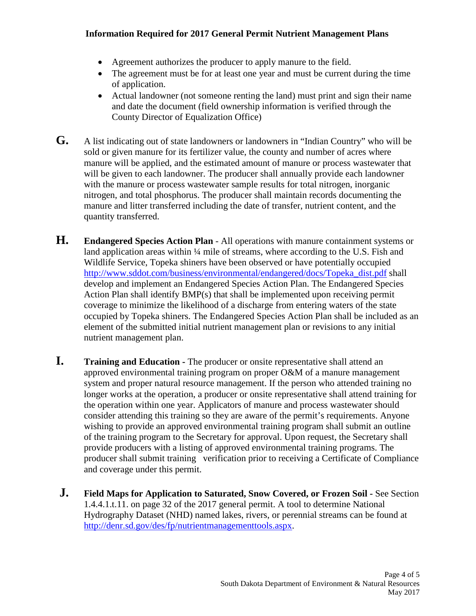- Agreement authorizes the producer to apply manure to the field.
- The agreement must be for at least one year and must be current during the time of application.
- Actual landowner (not someone renting the land) must print and sign their name and date the document (field ownership information is verified through the County Director of Equalization Office)
- **G.** A list indicating out of state landowners or landowners in "Indian Country" who will be sold or given manure for its fertilizer value, the county and number of acres where manure will be applied, and the estimated amount of manure or process wastewater that will be given to each landowner. The producer shall annually provide each landowner with the manure or process wastewater sample results for total nitrogen, inorganic nitrogen, and total phosphorus. The producer shall maintain records documenting the manure and litter transferred including the date of transfer, nutrient content, and the quantity transferred.
- **H. Endangered Species Action Plan** All operations with manure containment systems or land application areas within ¼ mile of streams, where according to the U.S. Fish and Wildlife Service, Topeka shiners have been observed or have potentially occupied [http://www.sddot.com/business/environmental/endangered/docs/Topeka\\_dist.pdf](http://www.sddot.com/business/environmental/endangered/docs/Topeka_dist.pdf) shall develop and implement an Endangered Species Action Plan. The Endangered Species Action Plan shall identify BMP(s) that shall be implemented upon receiving permit coverage to minimize the likelihood of a discharge from entering waters of the state occupied by Topeka shiners. The Endangered Species Action Plan shall be included as an element of the submitted initial nutrient management plan or revisions to any initial nutrient management plan.
- **I. Training and Education -** The producer or onsite representative shall attend an approved environmental training program on proper O&M of a manure management system and proper natural resource management. If the person who attended training no longer works at the operation, a producer or onsite representative shall attend training for the operation within one year. Applicators of manure and process wastewater should consider attending this training so they are aware of the permit's requirements. Anyone wishing to provide an approved environmental training program shall submit an outline of the training program to the Secretary for approval. Upon request, the Secretary shall provide producers with a listing of approved environmental training programs. The producer shall submit training verification prior to receiving a Certificate of Compliance and coverage under this permit.
- **J. Field Maps for Application to Saturated, Snow Covered, or Frozen Soil -** See Section 1.4.4.1.t.11. on page 32 of the 2017 general permit. A tool to determine National Hydrography Dataset (NHD) named lakes, rivers, or perennial streams can be found at [http://denr.sd.gov/des/fp/nutrientmanagementtools.aspx.](http://denr.sd.gov/des/fp/nutrientmanagementtools.aspx)